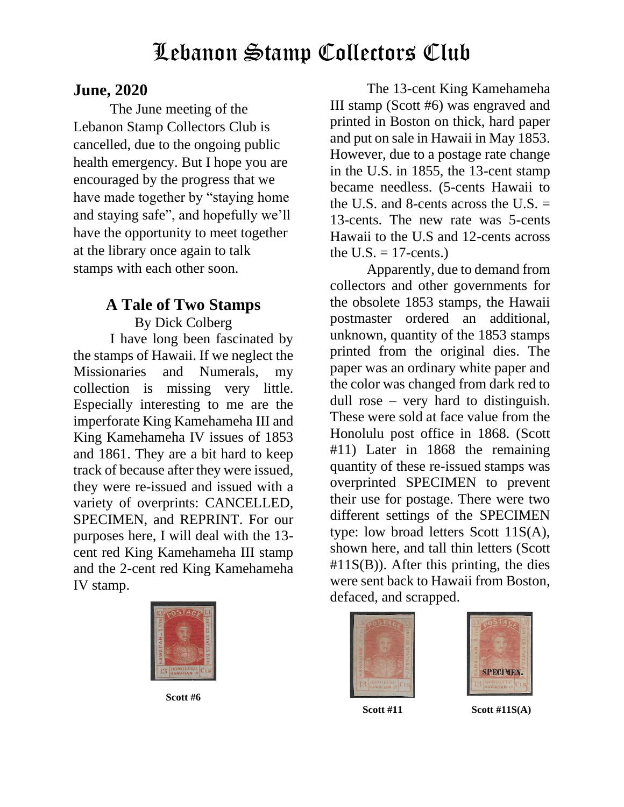#### **June, 2020**

The June meeting of the Lebanon Stamp Collectors Club is cancelled, due to the ongoing public health emergency. But I hope you are encouraged by the progress that we have made together by "staying home and staying safe", and hopefully we'll have the opportunity to meet together at the library once again to talk stamps with each other soon.

### **A Tale of Two Stamps**

By Dick Colberg I have long been fascinated by the stamps of Hawaii. If we neglect the Missionaries and Numerals, my collection is missing very little. Especially interesting to me are the imperforate King Kamehameha III and King Kamehameha IV issues of 1853 and 1861. They are a bit hard to keep track of because after they were issued, they were re-issued and issued with a variety of overprints: CANCELLED, SPECIMEN, and REPRINT. For our purposes here, I will deal with the 13 cent red King Kamehameha III stamp and the 2-cent red King Kamehameha IV stamp.



**Scott #6**

The 13-cent King Kamehameha III stamp (Scott #6) was engraved and printed in Boston on thick, hard paper and put on sale in Hawaii in May 1853. However, due to a postage rate change in the U.S. in 1855, the 13-cent stamp became needless. (5-cents Hawaii to the U.S. and 8-cents across the U.S.  $=$ 13-cents. The new rate was 5-cents Hawaii to the U.S and 12-cents across the U.S.  $=$  17-cents.)

Apparently, due to demand from collectors and other governments for the obsolete 1853 stamps, the Hawaii postmaster ordered an additional, unknown, quantity of the 1853 stamps printed from the original dies. The paper was an ordinary white paper and the color was changed from dark red to dull rose – very hard to distinguish. These were sold at face value from the Honolulu post office in 1868. (Scott #11) Later in 1868 the remaining quantity of these re-issued stamps was overprinted SPECIMEN to prevent their use for postage. There were two different settings of the SPECIMEN type: low broad letters Scott 11S(A), shown here, and tall thin letters (Scott #11S(B)). After this printing, the dies were sent back to Hawaii from Boston, defaced, and scrapped.





**Scott #11 Scott #11S(A)**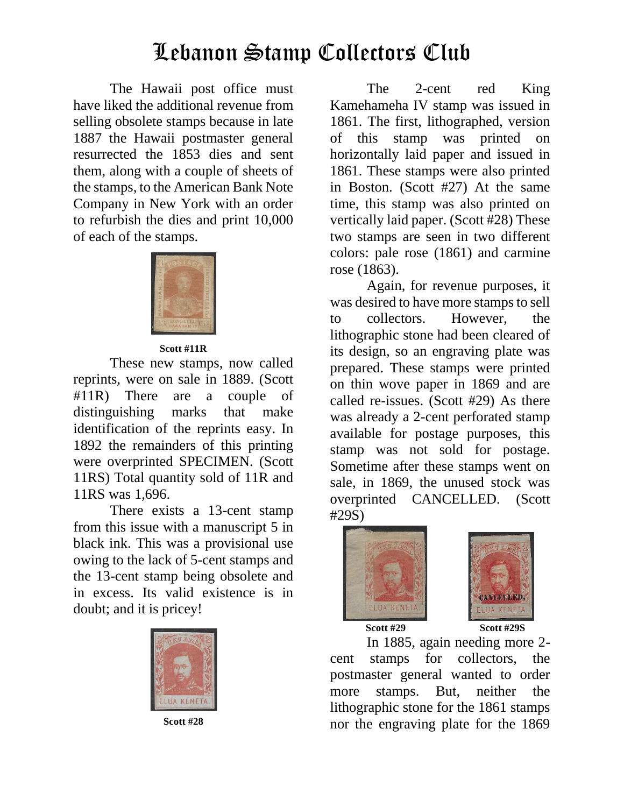The Hawaii post office must have liked the additional revenue from selling obsolete stamps because in late 1887 the Hawaii postmaster general resurrected the 1853 dies and sent them, along with a couple of sheets of the stamps, to the American Bank Note Company in New York with an order to refurbish the dies and print 10,000 of each of the stamps.



#### **Scott #11R**

These new stamps, now called reprints, were on sale in 1889. (Scott #11R) There are a couple of distinguishing marks that make identification of the reprints easy. In 1892 the remainders of this printing were overprinted SPECIMEN. (Scott 11RS) Total quantity sold of 11R and 11RS was 1,696.

There exists a 13-cent stamp from this issue with a manuscript 5 in black ink. This was a provisional use owing to the lack of 5-cent stamps and the 13-cent stamp being obsolete and in excess. Its valid existence is in doubt; and it is pricey!



**Scott #28**

The 2-cent red King Kamehameha IV stamp was issued in 1861. The first, lithographed, version of this stamp was printed on horizontally laid paper and issued in 1861. These stamps were also printed in Boston. (Scott #27) At the same time, this stamp was also printed on vertically laid paper. (Scott #28) These two stamps are seen in two different colors: pale rose (1861) and carmine rose (1863).

Again, for revenue purposes, it was desired to have more stamps to sell to collectors. However, the lithographic stone had been cleared of its design, so an engraving plate was prepared. These stamps were printed on thin wove paper in 1869 and are called re-issues. (Scott #29) As there was already a 2-cent perforated stamp available for postage purposes, this stamp was not sold for postage. Sometime after these stamps went on sale, in 1869, the unused stock was overprinted CANCELLED. (Scott #29S)





**Scott #29 Scott #29S**

In 1885, again needing more 2 cent stamps for collectors, the postmaster general wanted to order more stamps. But, neither the lithographic stone for the 1861 stamps nor the engraving plate for the 1869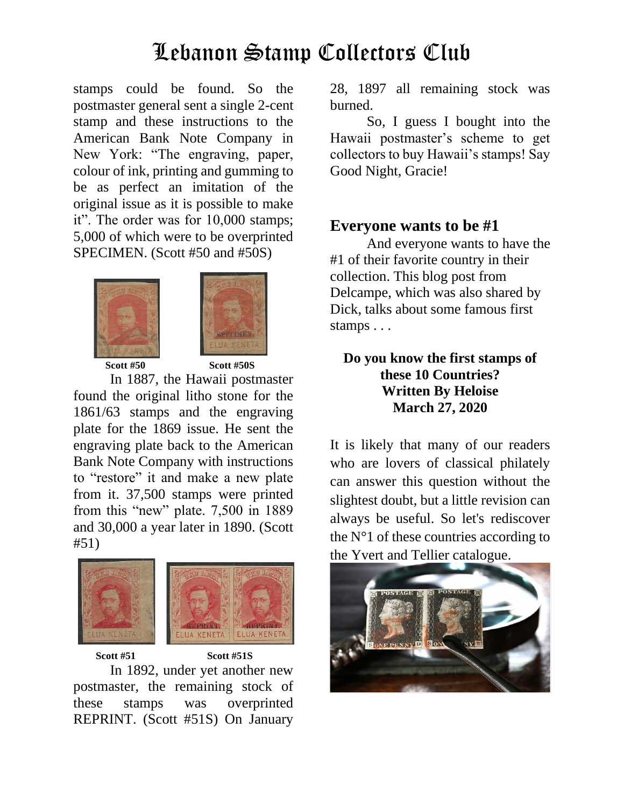stamps could be found. So the postmaster general sent a single 2-cent stamp and these instructions to the American Bank Note Company in New York: "The engraving, paper, colour of ink, printing and gumming to be as perfect an imitation of the original issue as it is possible to make it". The order was for 10,000 stamps; 5,000 of which were to be overprinted SPECIMEN. (Scott #50 and #50S)





**Scott #50 Scott #50S**

 In 1887, the Hawaii postmaster found the original litho stone for the 1861/63 stamps and the engraving plate for the 1869 issue. He sent the engraving plate back to the American Bank Note Company with instructions to "restore" it and make a new plate from it. 37,500 stamps were printed from this "new" plate. 7,500 in 1889 and 30,000 a year later in 1890. (Scott #51)



 **Scott #51 Scott #51S** In 1892, under yet another new postmaster, the remaining stock of these stamps was overprinted REPRINT. (Scott #51S) On January

28, 1897 all remaining stock was burned.

So, I guess I bought into the Hawaii postmaster's scheme to get collectors to buy Hawaii's stamps! Say Good Night, Gracie!

#### **Everyone wants to be #1**

And everyone wants to have the #1 of their favorite country in their collection. This blog post from Delcampe, which was also shared by Dick, talks about some famous first stamps . . .

#### **Do you know the first stamps of these 10 Countries? Written By Heloise March 27, 2020**

It is likely that many of our readers who are lovers of classical philately can answer this question without the slightest doubt, but a little revision can always be useful. So let's rediscover the  $N^{\circ}$ 1 of these countries according to [the Yvert and Tellier catalogue.](https://blog.delcampe.net/wp-content/uploads/2020/05/vitoria-comp-3-scaled.jpg)

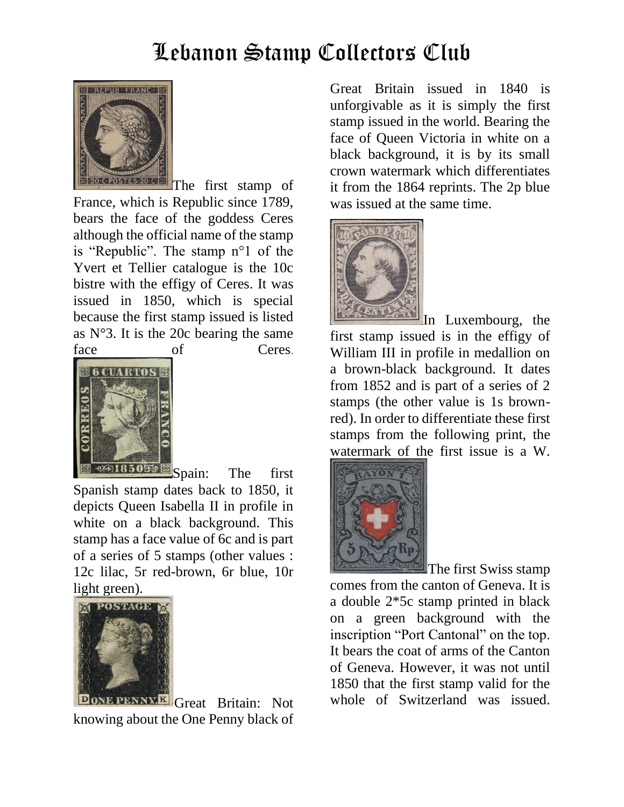

[T](https://blog.delcampe.net/wp-content/uploads/2020/03/France-20c-ok.jpg)he first stamp of France, which is Republic since 1789, bears the face of the goddess Ceres although the official name of the stamp is "Republic". The stamp n°1 of the Yvert et Tellier catalogue is the 10c bistre with the effigy of Ceres. It was issued in 1850, which is special because the first stamp issued is listed as  $N^{\circ}3$ . It is the 20c bearing the same face of Ceres.



**[S](https://blog.delcampe.net/wp-content/uploads/2020/03/Espagne-ok.jpg)pain:** The first Spanish stamp dates back to 1850, it depicts Queen Isabella II in profile in white on a black background. This stamp has a face value of 6c and is part of a series of 5 stamps (other values : 12c lilac, 5r red-brown, 6r blue, 10r light green).



**ONE PENNXE Great Britain:** Not knowing about the One Penny black of

Great Britain issued in 1840 is unforgivable as it is simply the first stamp issued in the world. Bearing the face of Queen Victoria in white on a black background, it is by its small crown watermark which differentiates it from the 1864 reprints. The 2p blue was issued at the same time.



[I](https://blog.delcampe.net/wp-content/uploads/2020/03/Luxembourg-ok.jpg)n Luxembourg, the first stamp issued is in the effigy of William III in profile in medallion on a brown-black background. It dates from 1852 and is part of a series of 2 stamps (the other value is 1s brownred). In order to differentiate these first stamps from the following print, the [watermark of th](https://blog.delcampe.net/wp-content/uploads/2020/03/suisse-fed-ok.jpg)e first issue is a W.



The first Swiss stamp comes from the canton of Geneva. It is a double 2\*5c stamp printed in black on a green background with the inscription "Port Cantonal" on the top. It bears the coat of arms of the Canton of Geneva. However, it was not until 1850 that the first stamp valid for the whole of Switzerland was issued.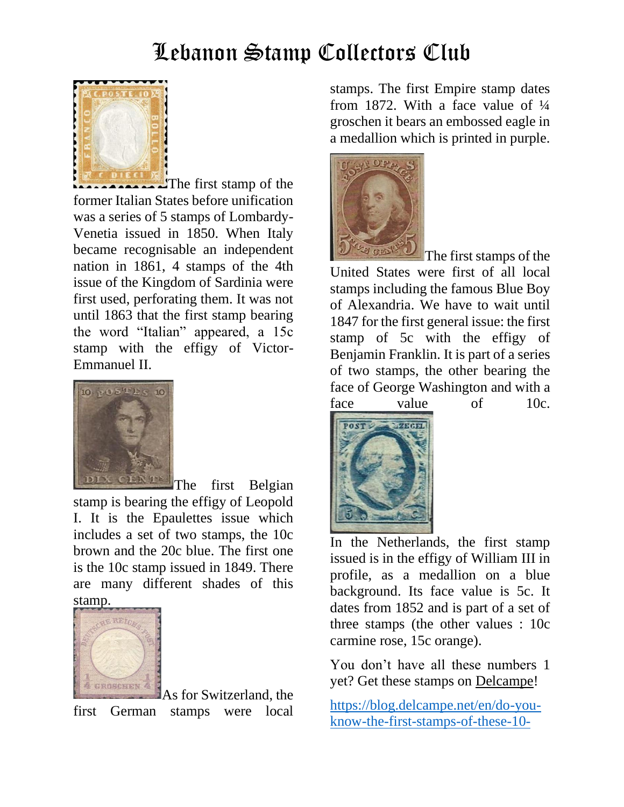

The first stamp of the former Italian States before unification was a series of 5 stamps of Lombardy-Venetia issued in 1850. When Italy became recognisable an independent nation in 1861, 4 stamps of the 4th issue of the Kingdom of Sardinia were first used, perforating them. It was not until 1863 that the first stamp bearing the word "Italian" appeared, a 15c stamp with the effigy of Victor-Emmanuel II.



stamp is bearing the effigy of Leopold I. It is the Epaulettes issue which includes a set of two stamps, the 10c brown and the 20c blue. The first one is the 10c stamp issued in 1849. There are many different shades of this [stamp.](https://blog.delcampe.net/wp-content/uploads/2020/03/allemagne-ok.jpg)



As for Switzerland, the first German stamps were local stamps. The first Empire stamp dates from 1872. With a face value of  $\frac{1}{4}$ groschen it bears an embossed eagle in a medallion which is printed in purple.



The first stamps of the United States were first of all local stamps including the famous Blue Boy of Alexandria. We have to wait until 1847 for the first general issue: the first stamp of 5c with the effigy of Benjamin Franklin. It is part of a series of two stamps, the other bearing the face of George Washington and with a [face value](https://blog.delcampe.net/wp-content/uploads/2020/03/Pays-Bas-ok.jpg) of 10c.



In the Netherlands, the first stamp issued is in the effigy of William III in profile, as a medallion on a blue background. Its face value is 5c. It dates from 1852 and is part of a set of three stamps (the other values : 10c carmine rose, 15c orange).

You don't have all these numbers 1 yet? Get these stamps on [Delcampe!](https://www.delcampe.net/en_GB/collectables/stamps/?utm_source=newsletter&utm_medium=blog&utm_content=2020_05_premiers%20timbres_EN)

[https://blog.delcampe.net/en/do-you](https://blog.delcampe.net/en/do-you-know-the-first-stamps-of-these-10-countries/?utm_source=newsletter_auto&utm_medium=email)[know-the-first-stamps-of-these-10-](https://blog.delcampe.net/en/do-you-know-the-first-stamps-of-these-10-countries/?utm_source=newsletter_auto&utm_medium=email)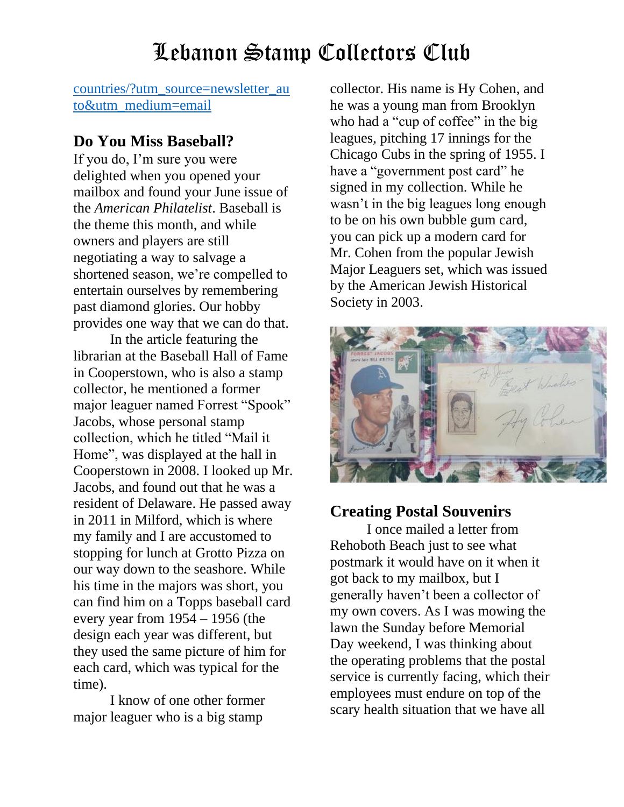[countries/?utm\\_source=newsletter\\_au](https://blog.delcampe.net/en/do-you-know-the-first-stamps-of-these-10-countries/?utm_source=newsletter_auto&utm_medium=email) [to&utm\\_medium=email](https://blog.delcampe.net/en/do-you-know-the-first-stamps-of-these-10-countries/?utm_source=newsletter_auto&utm_medium=email)

#### **Do You Miss Baseball?**

If you do, I'm sure you were delighted when you opened your mailbox and found your June issue of the *American Philatelist*. Baseball is the theme this month, and while owners and players are still negotiating a way to salvage a shortened season, we're compelled to entertain ourselves by remembering past diamond glories. Our hobby provides one way that we can do that.

In the article featuring the librarian at the Baseball Hall of Fame in Cooperstown, who is also a stamp collector, he mentioned a former major leaguer named Forrest "Spook" Jacobs, whose personal stamp collection, which he titled "Mail it Home", was displayed at the hall in Cooperstown in 2008. I looked up Mr. Jacobs, and found out that he was a resident of Delaware. He passed away in 2011 in Milford, which is where my family and I are accustomed to stopping for lunch at Grotto Pizza on our way down to the seashore. While his time in the majors was short, you can find him on a Topps baseball card every year from 1954 – 1956 (the design each year was different, but they used the same picture of him for each card, which was typical for the time).

I know of one other former major leaguer who is a big stamp

collector. His name is Hy Cohen, and he was a young man from Brooklyn who had a "cup of coffee" in the big leagues, pitching 17 innings for the Chicago Cubs in the spring of 1955. I have a "government post card" he signed in my collection. While he wasn't in the big leagues long enough to be on his own bubble gum card, you can pick up a modern card for Mr. Cohen from the popular Jewish Major Leaguers set, which was issued by the American Jewish Historical Society in 2003.



#### **Creating Postal Souvenirs**

I once mailed a letter from Rehoboth Beach just to see what postmark it would have on it when it got back to my mailbox, but I generally haven't been a collector of my own covers. As I was mowing the lawn the Sunday before Memorial Day weekend, I was thinking about the operating problems that the postal service is currently facing, which their employees must endure on top of the scary health situation that we have all